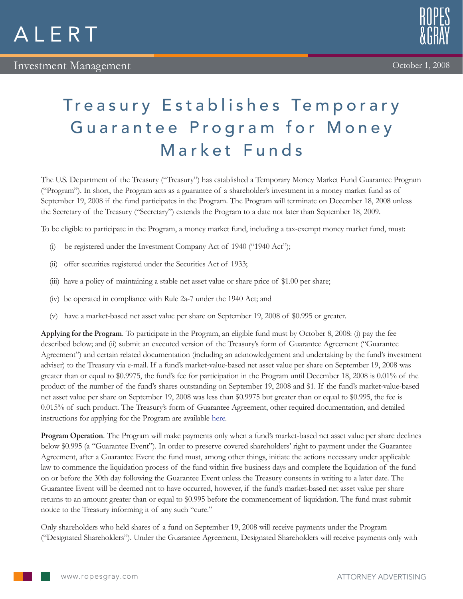



## Treasury Establishes Temporary Guarantee Program for Money Market Funds

The U.S. Department of the Treasury ("Treasury") has established a Temporary Money Market Fund Guarantee Program ("Program"). In short, the Program acts as a guarantee of a shareholder's investment in a money market fund as of September 19, 2008 if the fund participates in the Program. The Program will terminate on December 18, 2008 unless the Secretary of the Treasury ("Secretary") extends the Program to a date not later than September 18, 2009.

To be eligible to participate in the Program, a money market fund, including a tax-exempt money market fund, must:

- (i) be registered under the Investment Company Act of 1940 ("1940 Act");
- (ii) offer securities registered under the Securities Act of 1933;
- (iii) have a policy of maintaining a stable net asset value or share price of \$1.00 per share;
- (iv) be operated in compliance with Rule 2a-7 under the 1940 Act; and
- (v) have a market-based net asset value per share on September 19, 2008 of \$0.995 or greater.

Applying for the Program. To participate in the Program, an eligible fund must by October 8, 2008: (i) pay the fee described below; and (ii) submit an executed version of the Treasury's form of Guarantee Agreement ("Guarantee Agreement") and certain related documentation (including an acknowledgement and undertaking by the fund's investment adviser) to the Treasury via e-mail. If a fund's market-value-based net asset value per share on September 19, 2008 was greater than or equal to \$0.9975, the fund's fee for participation in the Program until December 18, 2008 is 0.01% of the product of the number of the fund's shares outstanding on September 19, 2008 and \$1. If the fund's market-value-based net asset value per share on September 19, 2008 was less than \$0.9975 but greater than or equal to \$0.995, the fee is 0.015% of such product. The Treasury's form of Guarantee Agreement, other required documentation, and detailed instructions for applying for the Program are available [here.](http://www.treas.gov/offices/domestic-finance/key-initiatives/money-market-fund.shtml)

Program Operation. The Program will make payments only when a fund's market-based net asset value per share declines below \$0.995 (a "Guarantee Event"). In order to preserve covered shareholders' right to payment under the Guarantee Agreement, after a Guarantee Event the fund must, among other things, initiate the actions necessary under applicable law to commence the liquidation process of the fund within five business days and complete the liquidation of the fund on or before the 30th day following the Guarantee Event unless the Treasury consents in writing to a later date. The Guarantee Event will be deemed not to have occurred, however, if the fund's market-based net asset value per share returns to an amount greater than or equal to \$0.995 before the commencement of liquidation. The fund must submit notice to the Treasury informing it of any such "cure."

Only shareholders who held shares of a fund on September 19, 2008 will receive payments under the Program ("Designated Shareholders"). Under the Guarantee Agreement, Designated Shareholders will receive payments only with